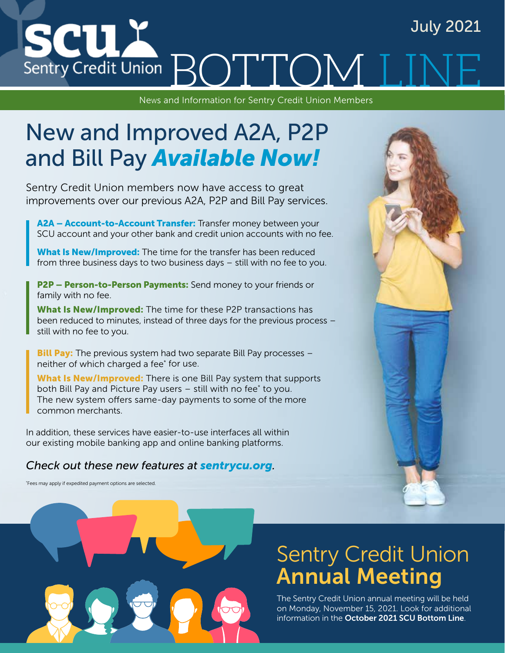# July 2021 **SCU** Sentry Credit Union ROIT TOM

News and Information for Sentry Credit Union Members

# New and Improved A2A, P2P and Bill Pay *Available Now!*

Sentry Credit Union members now have access to great improvements over our previous A2A, P2P and Bill Pay services.

A2A - Account-to-Account Transfer: Transfer money between your SCU account and your other bank and credit union accounts with no fee.

What Is New/Improved: The time for the transfer has been reduced from three business days to two business days – still with no fee to you.

**P2P – Person-to-Person Payments:** Send money to your friends or family with no fee.

What Is New/Improved: The time for these P2P transactions has been reduced to minutes, instead of three days for the previous process – still with no fee to you.

**Bill Pay:** The previous system had two separate Bill Pay processes neither of which charged a fee\* for use.

What Is New/Improved: There is one Bill Pay system that supports both Bill Pay and Picture Pay users – still with no fee\* to you. The new system offers same-day payments to some of the more common merchants.

In addition, these services have easier-to-use interfaces all within our existing mobile banking app and online banking platforms.

### *Check out these new features at sentrycu.org.*

\* Fees may apply if expedited payment options are selected.



# Sentry Credit Union Annual Meeting

The Sentry Credit Union annual meeting will be held on Monday, November 15, 2021. Look for additional information in the October 2021 SCU Bottom Line.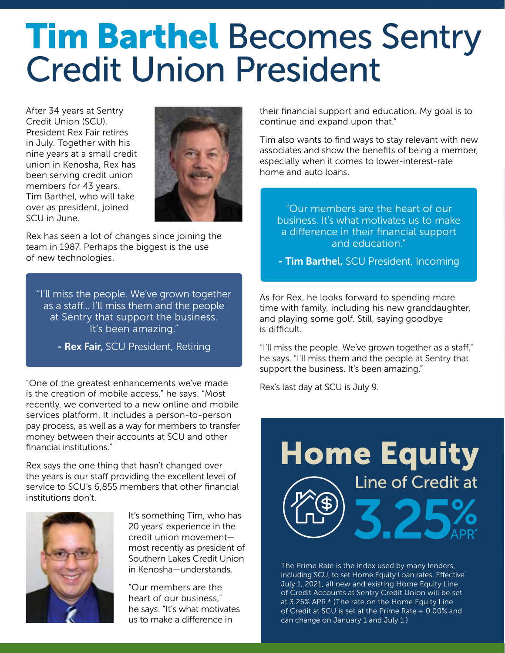# **Tim Barthel Becomes Sentry** Credit Union President

After 34 years at Sentry Credit Union (SCU), President Rex Fair retires in July. Together with his nine years at a small credit union in Kenosha, Rex has been serving credit union members for 43 years. Tim Barthel, who will take over as president, joined SCU in June.



Rex has seen a lot of changes since joining the team in 1987. Perhaps the biggest is the use of new technologies.

"I'll miss the people. We've grown together as a staff... I'll miss them and the people at Sentry that support the business. It's been amazing."

- Rex Fair, SCU President, Retiring

"One of the greatest enhancements we've made is the creation of mobile access," he says. "Most recently, we converted to a new online and mobile services platform. It includes a person-to-person pay process, as well as a way for members to transfer money between their accounts at SCU and other financial institutions."

Rex says the one thing that hasn't changed over the years is our staff providing the excellent level of service to SCU's 6,855 members that other financial institutions don't.



It's something Tim, who has 20 years' experience in the credit union movement most recently as president of Southern Lakes Credit Union in Kenosha—understands.

"Our members are the heart of our business," he says. "It's what motivates us to make a difference in

their financial support and education. My goal is to continue and expand upon that."

Tim also wants to find ways to stay relevant with new associates and show the benefits of being a member, especially when it comes to lower-interest-rate home and auto loans.

"Our members are the heart of our business. It's what motivates us to make a difference in their financial support and education."

- Tim Barthel, SCU President, Incoming

As for Rex, he looks forward to spending more time with family, including his new granddaughter, and playing some golf. Still, saying goodbye is difficult.

"I'll miss the people. We've grown together as a staff," he says. "I'll miss them and the people at Sentry that support the business. It's been amazing."

Rex's last day at SCU is July 9.



The Prime Rate is the index used by many lenders, including SCU, to set Home Equity Loan rates. Effective July 1, 2021, all new and existing Home Equity Line of Credit Accounts at Sentry Credit Union will be set at 3.25% APR.\* (The rate on the Home Equity Line of Credit at SCU is set at the Prime Rate + 0.00% and can change on January 1 and July 1.)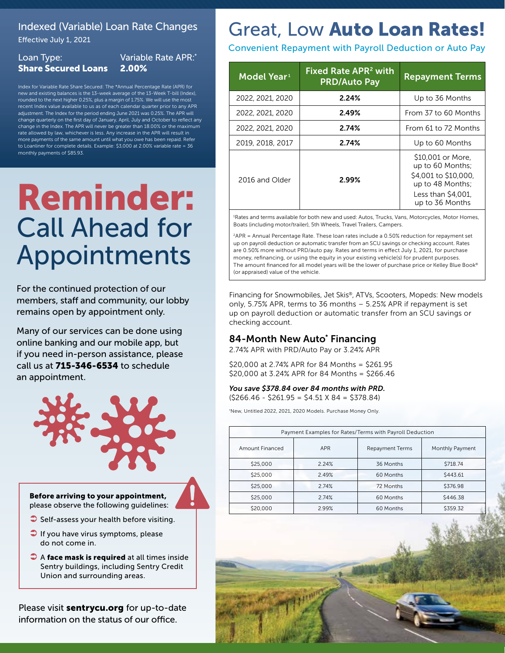## Indexed (Variable) Loan Rate Changes

Effective July 1, 2021

#### Loan Type: Share Secured Loans Variable Rate APR:\* 2.00%

Index for Variable Rate Share Secured: The \*Annual Percentage Rate (APR) for new and existing balances is the 13-week average of the 13-Week T-bill (Index), rounded to the next higher 0.25%, plus a margin of 1.75%. We will use the most recent Index value available to us as of each calendar quarter prior to any APR adjustment. The Index for the period ending June 2021 was 0.25%. The APR will change quarterly on the first day of January, April, July and October to reflect any change in the Index. The APR will never be greater than 18.00% or the maximum rate allowed by law, whichever is less. Any increase in the APR will result in more payments of the same amount until what you owe has been repaid. Refer to Loanliner for complete details. Example: \$3,000 at 2.00% variable rate = 36 monthly payments of \$85.93.

# Reminder: Call Ahead for Appointments

For the continued protection of our members, staff and community, our lobby remains open by appointment only.

Many of our services can be done using online banking and our mobile app, but if you need in-person assistance, please call us at 715-346-6534 to schedule an appointment.



Before arriving to your appointment, please observe the following guidelines:

- $\bullet$  Self-assess your health before visiting.
- $\Box$  If you have virus symptoms, please do not come in.
- A face mask is required at all times inside Sentry buildings, including Sentry Credit Union and surrounding areas.

Please visit sentrycu.org for up-to-date information on the status of our office.

# Great, Low Auto Loan Rates!

Convenient Repayment with Payroll Deduction or Auto Pay

| Model Year <sup>1</sup> | Fixed Rate APR <sup>2</sup> with<br><b>PRD/Auto Pay</b> | <b>Repayment Terms</b>                                                                                                     |
|-------------------------|---------------------------------------------------------|----------------------------------------------------------------------------------------------------------------------------|
| 2022, 2021, 2020        | 2.24%                                                   | Up to 36 Months                                                                                                            |
| 2022, 2021, 2020        | 2.49%                                                   | From 37 to 60 Months                                                                                                       |
| 2022, 2021, 2020        | 2.74%                                                   | From 61 to 72 Months                                                                                                       |
| 2019, 2018, 2017        | 2.74%                                                   | Up to 60 Months                                                                                                            |
| 2016 and Older          | 2.99%                                                   | \$10,001 or More.<br>up to 60 Months;<br>\$4,001 to \$10,000.<br>up to 48 Months;<br>Less than \$4.001.<br>up to 36 Months |

1 Rates and terms available for both new and used: Autos, Trucks, Vans, Motorcycles, Motor Homes, Boats (including motor/trailer), 5th Wheels, Travel Trailers, Campers.

2APR = Annual Percentage Rate. These loan rates include a 0.50% reduction for repayment set up on payroll deduction or automatic transfer from an SCU savings or checking account. Rates are 0.50% more without PRD/auto pay. Rates and terms in effect July 1, 2021, for purchase money, refinancing, or using the equity in your existing vehicle(s) for prudent purposes. The amount financed for all model years will be the lower of purchase price or Kelley Blue Book® (or appraised) value of the vehicle.

Financing for Snowmobiles, Jet Skis®, ATVs, Scooters, Mopeds: New models only, 5.75% APR, terms to 36 months – 5.25% APR if repayment is set up on payroll deduction or automatic transfer from an SCU savings or checking account.

## 84-Month New Auto\* Financing

2.74% APR with PRD/Auto Pay or 3.24% APR

\$20,000 at 2.74% APR for 84 Months = \$261.95 \$20,000 at 3.24% APR for 84 Months = \$266.46

#### *You save \$378.84 over 84 months with PRD.* (\$266.46 - \$261.95 = \$4.51 X 84 = \$378.84)

\* New, Untitled 2022, 2021, 2020 Models. Purchase Money Only.

| Payment Examples for Rates/Terms with Payroll Deduction |            |                        |                 |
|---------------------------------------------------------|------------|------------------------|-----------------|
| Amount Financed                                         | <b>APR</b> | <b>Repayment Terms</b> | Monthly Payment |
| \$25,000                                                | 2.24%      | 36 Months              | \$718.74        |
| \$25,000                                                | 2.49%      | 60 Months              | \$443.61        |
| \$25,000                                                | 2.74%      | 72 Months              | \$376.98        |
| \$25,000                                                | 2.74%      | 60 Months              | \$446.38        |
| \$20,000                                                | 2.99%      | 60 Months              | \$359.32        |